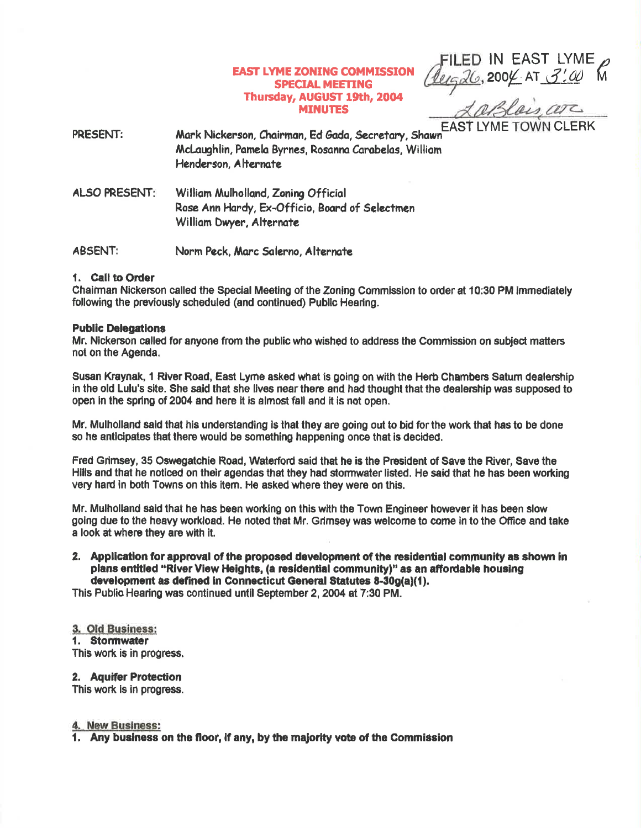# **EAST LYME ZONING COMMISSION SPECIAL MEETING** Thursday, AUGUST 19th, 2004 **MINUTES**

FILED IN EAST LYME<br>Queg26, 2004 AT 3:00 M

**FAST LYME TOWN CLERK** Mark Nickerson, Chairman, Ed Gada, Secretary, Shawr PRESENT: McLaughlin, Pamela Byrnes, Rosanna Carabelas, William Henderson, Alternate

**ALSO PRESENT:** William Mulholland, Zoning Official Rose Ann Hardy, Ex-Officio, Board of Selectmen William Dwyer, Alternate

**ABSENT:** Norm Peck, Marc Salerno, Alternate

## 1. Call to Order

Chairman Nickerson called the Special Meeting of the Zoning Commission to order at 10:30 PM immediately following the previously scheduled (and continued) Public Hearing.

## **Public Delegations**

Mr. Nickerson called for anyone from the public who wished to address the Commission on subject matters not on the Agenda.

Susan Kraynak, 1 River Road, East Lyme asked what is going on with the Herb Chambers Saturn dealership in the old Lulu's site. She said that she lives near there and had thought that the dealership was supposed to open in the spring of 2004 and here it is almost fall and it is not open.

Mr. Mulholland said that his understanding is that they are going out to bid for the work that has to be done so he anticipates that there would be something happening once that is decided.

Fred Grimsey, 35 Oswegatchie Road, Waterford said that he is the President of Save the River, Save the Hills and that he noticed on their agendas that they had stormwater listed. He said that he has been working very hard in both Towns on this item. He asked where they were on this.

Mr. Mulholland said that he has been working on this with the Town Engineer however it has been slow going due to the heavy workload. He noted that Mr. Grimsey was welcome to come in to the Office and take a look at where they are with it.

2. Application for approval of the proposed development of the residential community as shown in plans entitled "River View Heights, (a residential community)" as an affordable housing development as defined in Connecticut General Statutes 8-30g(a)(1).

This Public Hearing was continued until September 2, 2004 at 7:30 PM.

# 3. Old Business:

1. Stormwater

This work is in progress.

# 2. Aquifer Protection

This work is in progress.

### 4. New Business:

1. Any business on the floor, if any, by the majority vote of the Commission